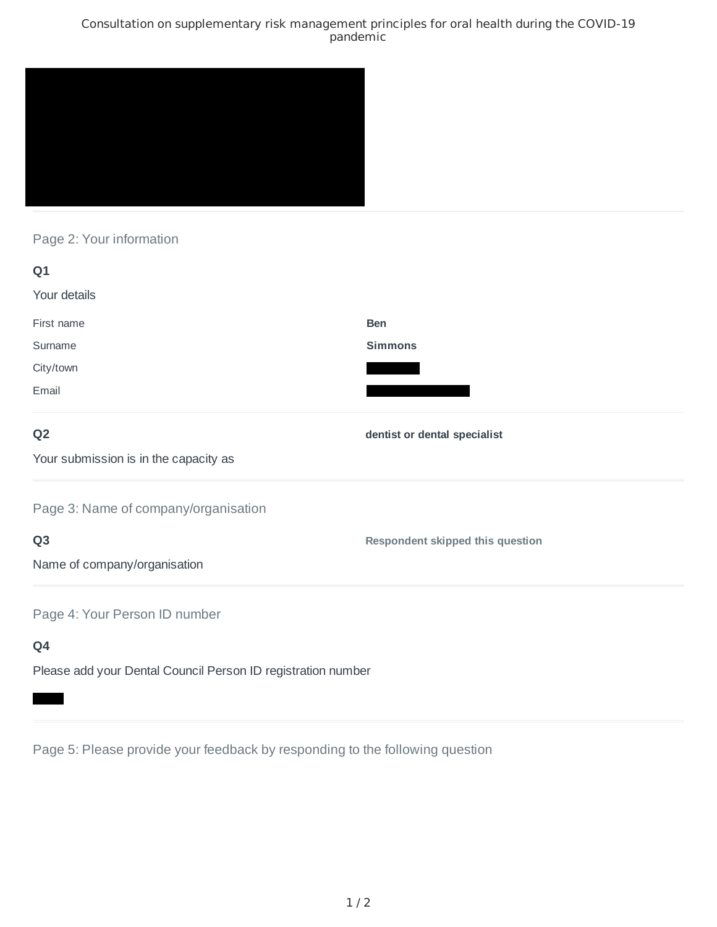### Consultation on supplementary risk management principles for oral health during the COVID-19 pandemic



# Page 2: Your information

| Q <sub>1</sub>                                               |                                         |
|--------------------------------------------------------------|-----------------------------------------|
| Your details                                                 |                                         |
| First name                                                   | <b>Ben</b>                              |
| Surname                                                      | <b>Simmons</b>                          |
| City/town                                                    |                                         |
| Email                                                        |                                         |
| Q <sub>2</sub>                                               | dentist or dental specialist            |
| Your submission is in the capacity as                        |                                         |
| Page 3: Name of company/organisation                         |                                         |
| Q <sub>3</sub>                                               | <b>Respondent skipped this question</b> |
| Name of company/organisation                                 |                                         |
| Page 4: Your Person ID number                                |                                         |
| Q4                                                           |                                         |
| Please add your Dental Council Person ID registration number |                                         |

Page 5: Please provide your feedback by responding to the following question